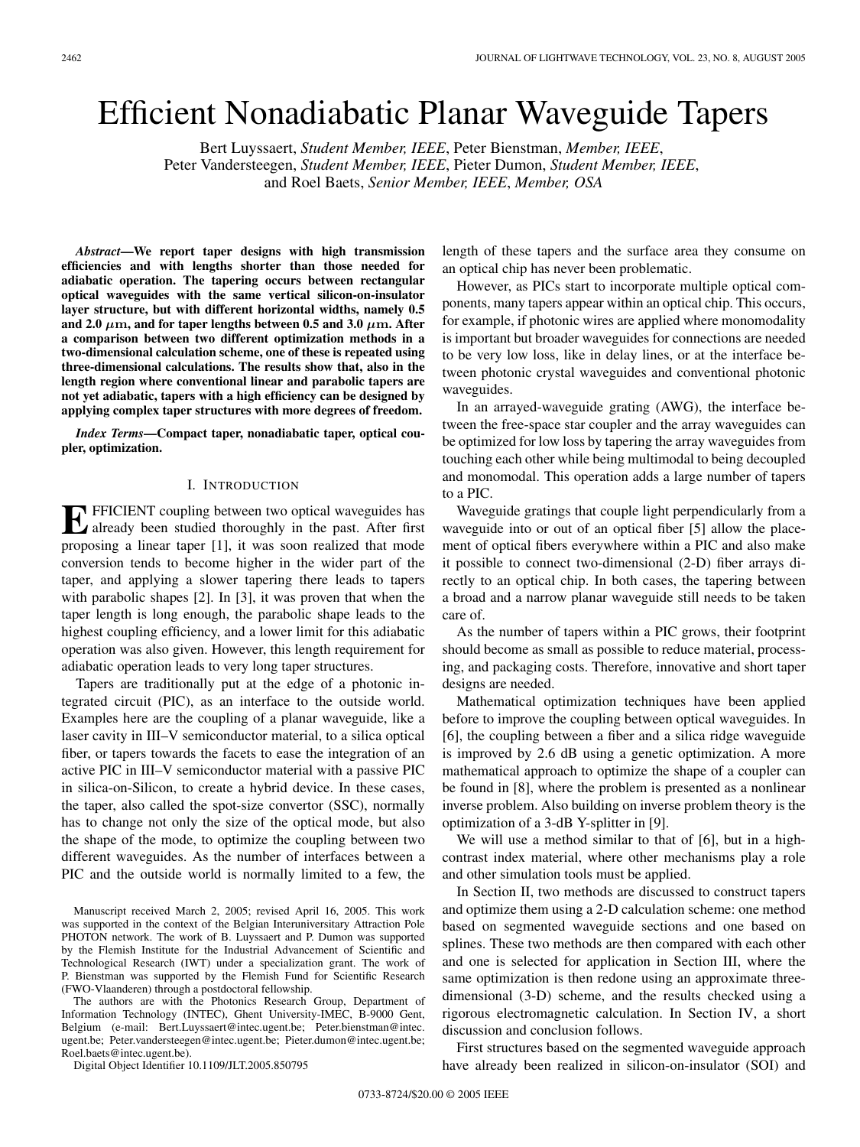# Efficient Nonadiabatic Planar Waveguide Tapers

Bert Luyssaert, *Student Member, IEEE*, Peter Bienstman, *Member, IEEE*, Peter Vandersteegen, *Student Member, IEEE*, Pieter Dumon, *Student Member, IEEE*, and Roel Baets, *Senior Member, IEEE*, *Member, OSA*

*Abstract***—We report taper designs with high transmission efficiencies and with lengths shorter than those needed for adiabatic operation. The tapering occurs between rectangular optical waveguides with the same vertical silicon-on-insulator layer structure, but with different horizontal widths, namely 0.5** and 2.0  $\mu$ m, and for taper lengths between 0.5 and 3.0  $\mu$ m. After **a comparison between two different optimization methods in a two-dimensional calculation scheme, one of these is repeated using three-dimensional calculations. The results show that, also in the length region where conventional linear and parabolic tapers are not yet adiabatic, tapers with a high efficiency can be designed by applying complex taper structures with more degrees of freedom.**

*Index Terms***—Compact taper, nonadiabatic taper, optical coupler, optimization.**

# I. INTRODUCTION

**EFICIENT** coupling between two optical waveguides has already been studied thoroughly in the past. After first proposing a linear taper [1], it was soon realized that mode conversion tends to become higher in the wider part of the taper, and applying a slower tapering there leads to tapers with parabolic shapes [2]. In [3], it was proven that when the taper length is long enough, the parabolic shape leads to the highest coupling efficiency, and a lower limit for this adiabatic operation was also given. However, this length requirement for adiabatic operation leads to very long taper structures.

Tapers are traditionally put at the edge of a photonic integrated circuit (PIC), as an interface to the outside world. Examples here are the coupling of a planar waveguide, like a laser cavity in III–V semiconductor material, to a silica optical fiber, or tapers towards the facets to ease the integration of an active PIC in III–V semiconductor material with a passive PIC in silica-on-Silicon, to create a hybrid device. In these cases, the taper, also called the spot-size convertor (SSC), normally has to change not only the size of the optical mode, but also the shape of the mode, to optimize the coupling between two different waveguides. As the number of interfaces between a PIC and the outside world is normally limited to a few, the

Manuscript received March 2, 2005; revised April 16, 2005. This work was supported in the context of the Belgian Interuniversitary Attraction Pole PHOTON network. The work of B. Luyssaert and P. Dumon was supported by the Flemish Institute for the Industrial Advancement of Scientific and Technological Research (IWT) under a specialization grant. The work of P. Bienstman was supported by the Flemish Fund for Scientific Research (FWO-Vlaanderen) through a postdoctoral fellowship.

The authors are with the Photonics Research Group, Department of Information Technology (INTEC), Ghent University-IMEC, B-9000 Gent, Belgium (e-mail: Bert.Luyssaert@intec.ugent.be; Peter.bienstman@intec. ugent.be; Peter.vandersteegen@intec.ugent.be; Pieter.dumon@intec.ugent.be; Roel.baets@intec.ugent.be).

Digital Object Identifier 10.1109/JLT.2005.850795

length of these tapers and the surface area they consume on an optical chip has never been problematic.

However, as PICs start to incorporate multiple optical components, many tapers appear within an optical chip. This occurs, for example, if photonic wires are applied where monomodality is important but broader waveguides for connections are needed to be very low loss, like in delay lines, or at the interface between photonic crystal waveguides and conventional photonic waveguides.

In an arrayed-waveguide grating (AWG), the interface between the free-space star coupler and the array waveguides can be optimized for low loss by tapering the array waveguides from touching each other while being multimodal to being decoupled and monomodal. This operation adds a large number of tapers to a PIC.

Waveguide gratings that couple light perpendicularly from a waveguide into or out of an optical fiber [5] allow the placement of optical fibers everywhere within a PIC and also make it possible to connect two-dimensional (2-D) fiber arrays directly to an optical chip. In both cases, the tapering between a broad and a narrow planar waveguide still needs to be taken care of.

As the number of tapers within a PIC grows, their footprint should become as small as possible to reduce material, processing, and packaging costs. Therefore, innovative and short taper designs are needed.

Mathematical optimization techniques have been applied before to improve the coupling between optical waveguides. In [6], the coupling between a fiber and a silica ridge waveguide is improved by 2.6 dB using a genetic optimization. A more mathematical approach to optimize the shape of a coupler can be found in [8], where the problem is presented as a nonlinear inverse problem. Also building on inverse problem theory is the optimization of a 3-dB Y-splitter in [9].

We will use a method similar to that of [6], but in a highcontrast index material, where other mechanisms play a role and other simulation tools must be applied.

In Section II, two methods are discussed to construct tapers and optimize them using a 2-D calculation scheme: one method based on segmented waveguide sections and one based on splines. These two methods are then compared with each other and one is selected for application in Section III, where the same optimization is then redone using an approximate threedimensional (3-D) scheme, and the results checked using a rigorous electromagnetic calculation. In Section IV, a short discussion and conclusion follows.

First structures based on the segmented waveguide approach have already been realized in silicon-on-insulator (SOI) and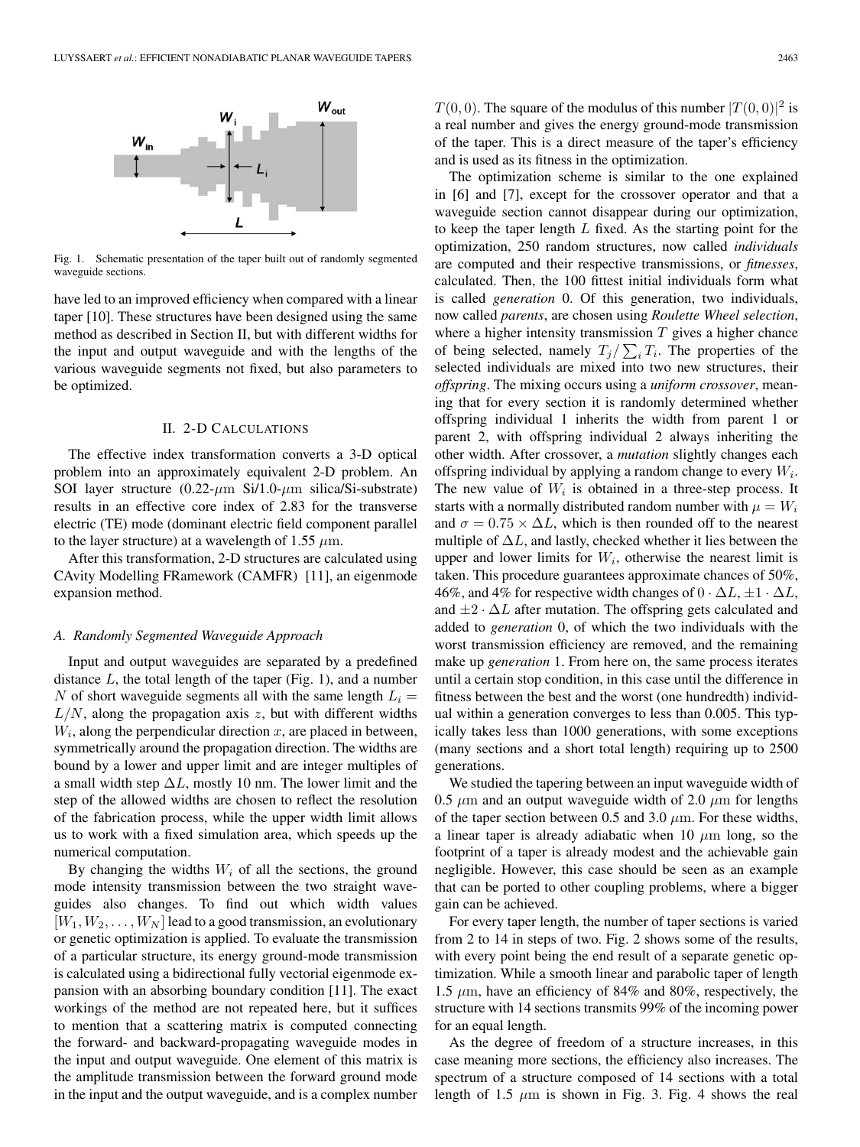

Fig. 1. Schematic presentation of the taper built out of randomly segmented waveguide sections.

have led to an improved efficiency when compared with a linear taper [10]. These structures have been designed using the same method as described in Section II, but with different widths for the input and output waveguide and with the lengths of the various waveguide segments not fixed, but also parameters to be optimized.

# II. 2-D CALCULATIONS

The effective index transformation converts a 3-D optical problem into an approximately equivalent 2-D problem. An SOI layer structure  $(0.22 \text{-} \mu \text{m Si/1.0} \text{-} \mu \text{m silica/Si-substrate})$ results in an effective core index of 2.83 for the transverse electric (TE) mode (dominant electric field component parallel to the layer structure) at a wavelength of 1.55  $\mu$ m.

After this transformation, 2-D structures are calculated using CAvity Modelling FRamework (CAMFR) [11], an eigenmode expansion method.

## *A. Randomly Segmented Waveguide Approach*

Input and output waveguides are separated by a predefined distance  $L$ , the total length of the taper (Fig. 1), and a number N of short waveguide segments all with the same length  $L<sub>i</sub>$  =  $L/N$ , along the propagation axis z, but with different widths  $W<sub>i</sub>$ , along the perpendicular direction  $x$ , are placed in between, symmetrically around the propagation direction. The widths are bound by a lower and upper limit and are integer multiples of a small width step  $\Delta L$ , mostly 10 nm. The lower limit and the step of the allowed widths are chosen to reflect the resolution of the fabrication process, while the upper width limit allows us to work with a fixed simulation area, which speeds up the numerical computation.

By changing the widths  $W_i$  of all the sections, the ground mode intensity transmission between the two straight waveguides also changes. To find out which width values  $[W_1, W_2, \ldots, W_N]$  lead to a good transmission, an evolutionary or genetic optimization is applied. To evaluate the transmission of a particular structure, its energy ground-mode transmission is calculated using a bidirectional fully vectorial eigenmode expansion with an absorbing boundary condition [11]. The exact workings of the method are not repeated here, but it suffices to mention that a scattering matrix is computed connecting the forward- and backward-propagating waveguide modes in the input and output waveguide. One element of this matrix is the amplitude transmission between the forward ground mode in the input and the output waveguide, and is a complex number

 $T(0,0)$ . The square of the modulus of this number  $|T(0,0)|^2$  is a real number and gives the energy ground-mode transmission of the taper. This is a direct measure of the taper's efficiency and is used as its fitness in the optimization.

The optimization scheme is similar to the one explained in [6] and [7], except for the crossover operator and that a waveguide section cannot disappear during our optimization, to keep the taper length  $L$  fixed. As the starting point for the optimization, 250 random structures, now called *individuals* are computed and their respective transmissions, or *fitnesses*, calculated. Then, the 100 fittest initial individuals form what is called *generation* 0. Of this generation, two individuals, now called *parents*, are chosen using *Roulette Wheel selection*, where a higher intensity transmission  $T$  gives a higher chance of being selected, namely  $T_j / \sum_i T_i$ . The properties of the selected individuals are mixed into two new structures, their *offspring*. The mixing occurs using a *uniform crossover*, meaning that for every section it is randomly determined whether offspring individual 1 inherits the width from parent 1 or parent 2, with offspring individual 2 always inheriting the other width. After crossover, a *mutation* slightly changes each offspring individual by applying a random change to every  $W_i$ . The new value of  $W_i$  is obtained in a three-step process. It starts with a normally distributed random number with  $\mu = W_i$ and  $\sigma = 0.75 \times \Delta L$ , which is then rounded off to the nearest multiple of  $\Delta L$ , and lastly, checked whether it lies between the upper and lower limits for  $W_i$ , otherwise the nearest limit is taken. This procedure guarantees approximate chances of 50%, 46%, and 4% for respective width changes of  $0 \cdot \Delta L$ ,  $\pm 1 \cdot \Delta L$ , and  $\pm 2 \cdot \Delta L$  after mutation. The offspring gets calculated and added to *generation* 0, of which the two individuals with the worst transmission efficiency are removed, and the remaining make up *generation* 1. From here on, the same process iterates until a certain stop condition, in this case until the difference in fitness between the best and the worst (one hundredth) individual within a generation converges to less than 0.005. This typically takes less than 1000 generations, with some exceptions (many sections and a short total length) requiring up to 2500 generations.

We studied the tapering between an input waveguide width of 0.5  $\mu$ m and an output waveguide width of 2.0  $\mu$ m for lengths of the taper section between 0.5 and 3.0  $\mu$ m. For these widths, a linear taper is already adiabatic when 10  $\mu$ m long, so the footprint of a taper is already modest and the achievable gain negligible. However, this case should be seen as an example that can be ported to other coupling problems, where a bigger gain can be achieved.

For every taper length, the number of taper sections is varied from 2 to 14 in steps of two. Fig. 2 shows some of the results, with every point being the end result of a separate genetic optimization. While a smooth linear and parabolic taper of length 1.5  $\mu$ m, have an efficiency of 84% and 80%, respectively, the structure with 14 sections transmits 99% of the incoming power for an equal length.

As the degree of freedom of a structure increases, in this case meaning more sections, the efficiency also increases. The spectrum of a structure composed of 14 sections with a total length of 1.5  $\mu$ m is shown in Fig. 3. Fig. 4 shows the real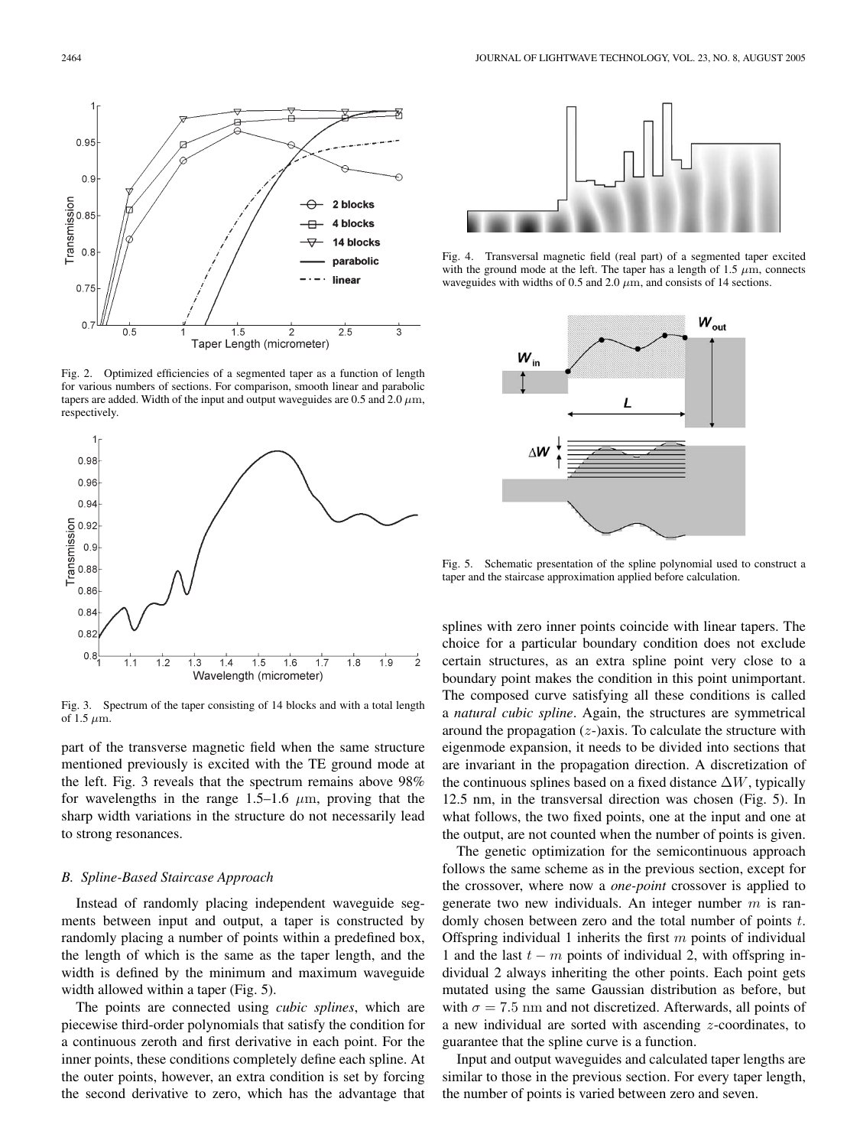

Fig. 2. Optimized efficiencies of a segmented taper as a function of length for various numbers of sections. For comparison, smooth linear and parabolic tapers are added. Width of the input and output waveguides are 0.5 and 2.0  $\mu$ m, respectively.



Fig. 3. Spectrum of the taper consisting of 14 blocks and with a total length of 1.5  $\mu$ m.

part of the transverse magnetic field when the same structure mentioned previously is excited with the TE ground mode at the left. Fig. 3 reveals that the spectrum remains above 98% for wavelengths in the range 1.5–1.6  $\mu$ m, proving that the sharp width variations in the structure do not necessarily lead to strong resonances.

#### *B. Spline-Based Staircase Approach*

Instead of randomly placing independent waveguide segments between input and output, a taper is constructed by randomly placing a number of points within a predefined box, the length of which is the same as the taper length, and the width is defined by the minimum and maximum waveguide width allowed within a taper (Fig. 5).

The points are connected using *cubic splines*, which are piecewise third-order polynomials that satisfy the condition for a continuous zeroth and first derivative in each point. For the inner points, these conditions completely define each spline. At the outer points, however, an extra condition is set by forcing the second derivative to zero, which has the advantage that



Fig. 4. Transversal magnetic field (real part) of a segmented taper excited with the ground mode at the left. The taper has a length of 1.5  $\mu$ m, connects waveguides with widths of 0.5 and 2.0  $\mu$ m, and consists of 14 sections.



Fig. 5. Schematic presentation of the spline polynomial used to construct a taper and the staircase approximation applied before calculation.

splines with zero inner points coincide with linear tapers. The choice for a particular boundary condition does not exclude certain structures, as an extra spline point very close to a boundary point makes the condition in this point unimportant. The composed curve satisfying all these conditions is called a *natural cubic spline*. Again, the structures are symmetrical around the propagation  $(z)$ -)axis. To calculate the structure with eigenmode expansion, it needs to be divided into sections that are invariant in the propagation direction. A discretization of the continuous splines based on a fixed distance  $\Delta W$ , typically 12.5 nm, in the transversal direction was chosen (Fig. 5). In what follows, the two fixed points, one at the input and one at the output, are not counted when the number of points is given.

The genetic optimization for the semicontinuous approach follows the same scheme as in the previous section, except for the crossover, where now a *one-point* crossover is applied to generate two new individuals. An integer number  $m$  is randomly chosen between zero and the total number of points t. Offspring individual 1 inherits the first  $m$  points of individual 1 and the last  $t - m$  points of individual 2, with offspring individual 2 always inheriting the other points. Each point gets mutated using the same Gaussian distribution as before, but with  $\sigma = 7.5$  nm and not discretized. Afterwards, all points of a new individual are sorted with ascending z-coordinates, to guarantee that the spline curve is a function.

Input and output waveguides and calculated taper lengths are similar to those in the previous section. For every taper length, the number of points is varied between zero and seven.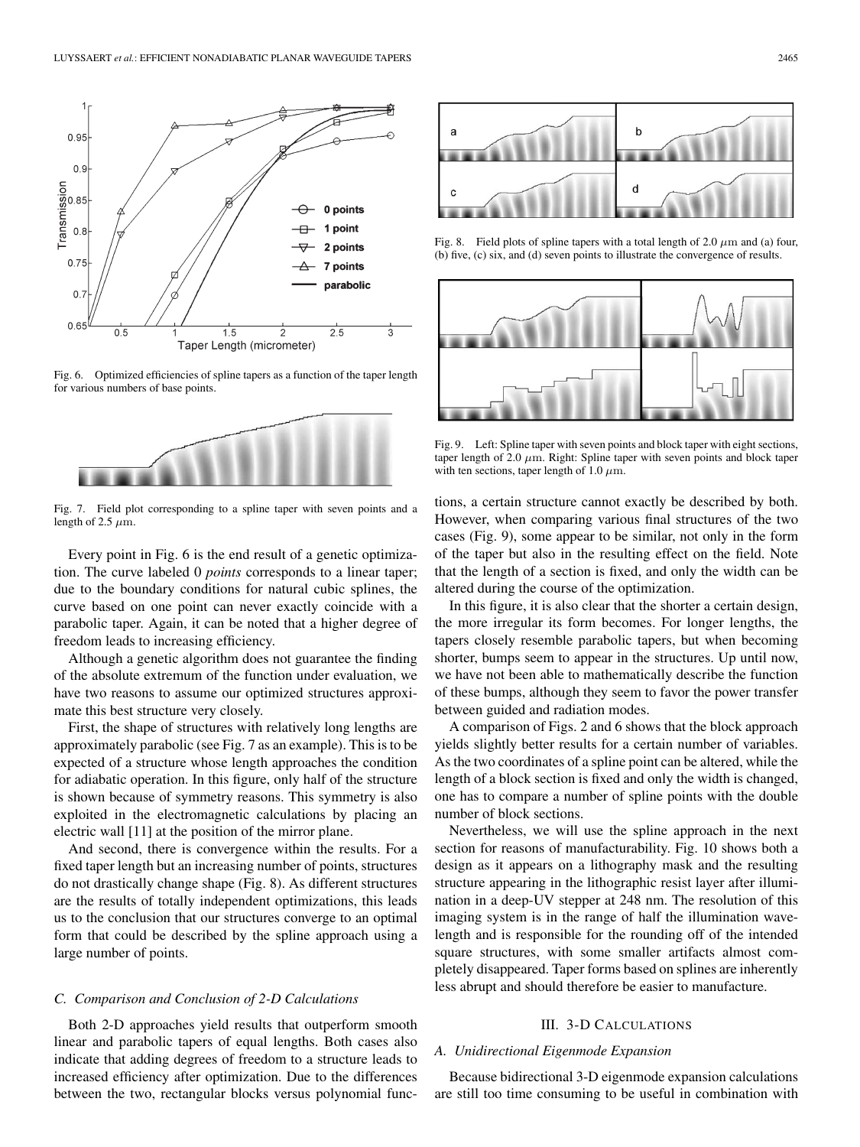

Fig. 6. Optimized efficiencies of spline tapers as a function of the taper length for various numbers of base points.



Fig. 7. Field plot corresponding to a spline taper with seven points and a length of 2.5  $\mu$ m.

Every point in Fig. 6 is the end result of a genetic optimization. The curve labeled 0 *points* corresponds to a linear taper; due to the boundary conditions for natural cubic splines, the curve based on one point can never exactly coincide with a parabolic taper. Again, it can be noted that a higher degree of freedom leads to increasing efficiency.

Although a genetic algorithm does not guarantee the finding of the absolute extremum of the function under evaluation, we have two reasons to assume our optimized structures approximate this best structure very closely.

First, the shape of structures with relatively long lengths are approximately parabolic (see Fig. 7 as an example). This is to be expected of a structure whose length approaches the condition for adiabatic operation. In this figure, only half of the structure is shown because of symmetry reasons. This symmetry is also exploited in the electromagnetic calculations by placing an electric wall [11] at the position of the mirror plane.

And second, there is convergence within the results. For a fixed taper length but an increasing number of points, structures do not drastically change shape (Fig. 8). As different structures are the results of totally independent optimizations, this leads us to the conclusion that our structures converge to an optimal form that could be described by the spline approach using a large number of points.

#### *C. Comparison and Conclusion of 2-D Calculations*

Both 2-D approaches yield results that outperform smooth linear and parabolic tapers of equal lengths. Both cases also indicate that adding degrees of freedom to a structure leads to increased efficiency after optimization. Due to the differences between the two, rectangular blocks versus polynomial func-



Fig. 8. Field plots of spline tapers with a total length of 2.0  $\mu$ m and (a) four, (b) five, (c) six, and (d) seven points to illustrate the convergence of results.



Fig. 9. Left: Spline taper with seven points and block taper with eight sections, taper length of 2.0  $\mu$ m. Right: Spline taper with seven points and block taper with ten sections, taper length of 1.0  $\mu$ m.

tions, a certain structure cannot exactly be described by both. However, when comparing various final structures of the two cases (Fig. 9), some appear to be similar, not only in the form of the taper but also in the resulting effect on the field. Note that the length of a section is fixed, and only the width can be altered during the course of the optimization.

In this figure, it is also clear that the shorter a certain design, the more irregular its form becomes. For longer lengths, the tapers closely resemble parabolic tapers, but when becoming shorter, bumps seem to appear in the structures. Up until now, we have not been able to mathematically describe the function of these bumps, although they seem to favor the power transfer between guided and radiation modes.

A comparison of Figs. 2 and 6 shows that the block approach yields slightly better results for a certain number of variables. As the two coordinates of a spline point can be altered, while the length of a block section is fixed and only the width is changed, one has to compare a number of spline points with the double number of block sections.

Nevertheless, we will use the spline approach in the next section for reasons of manufacturability. Fig. 10 shows both a design as it appears on a lithography mask and the resulting structure appearing in the lithographic resist layer after illumination in a deep-UV stepper at 248 nm. The resolution of this imaging system is in the range of half the illumination wavelength and is responsible for the rounding off of the intended square structures, with some smaller artifacts almost completely disappeared. Taper forms based on splines are inherently less abrupt and should therefore be easier to manufacture.

## III. 3-D CALCULATIONS

# *A. Unidirectional Eigenmode Expansion*

Because bidirectional 3-D eigenmode expansion calculations are still too time consuming to be useful in combination with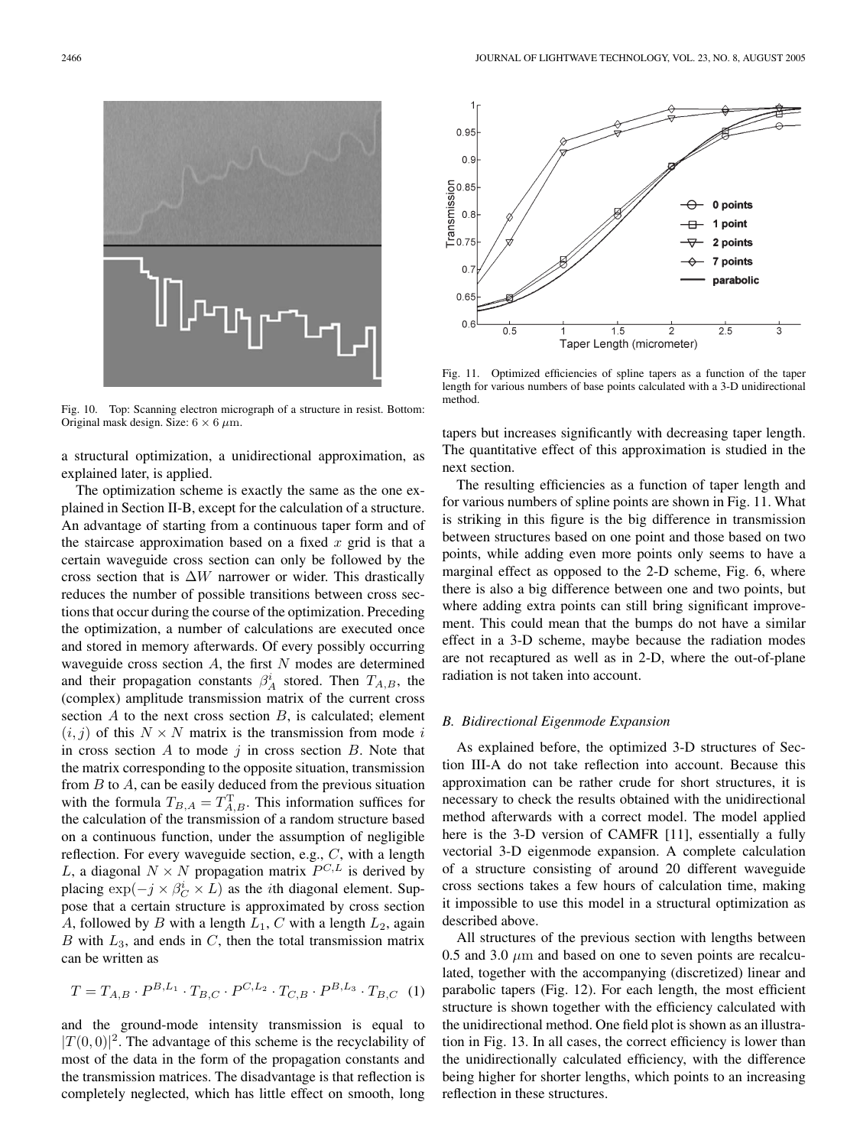

Fig. 10. Top: Scanning electron micrograph of a structure in resist. Bottom: Original mask design. Size:  $6 \times 6 \ \mu \text{m}$ .

a structural optimization, a unidirectional approximation, as explained later, is applied.

The optimization scheme is exactly the same as the one explained in Section II-B, except for the calculation of a structure. An advantage of starting from a continuous taper form and of the staircase approximation based on a fixed  $x$  grid is that a certain waveguide cross section can only be followed by the cross section that is  $\Delta W$  narrower or wider. This drastically reduces the number of possible transitions between cross sections that occur during the course of the optimization. Preceding the optimization, a number of calculations are executed once and stored in memory afterwards. Of every possibly occurring waveguide cross section  $A$ , the first  $N$  modes are determined and their propagation constants  $\beta_A^i$  stored. Then  $T_{A,B}$ , the (complex) amplitude transmission matrix of the current cross section  $A$  to the next cross section  $B$ , is calculated; element  $(i, j)$  of this  $N \times N$  matrix is the transmission from mode i in cross section  $A$  to mode  $j$  in cross section  $B$ . Note that the matrix corresponding to the opposite situation, transmission from  $B$  to  $A$ , can be easily deduced from the previous situation with the formula  $T_{B,A} = T_{A,B}^{T}$ . This information suffices for the calculation of the transmission of a random structure based on a continuous function, under the assumption of negligible reflection. For every waveguide section, e.g., C, with a length L, a diagonal  $N \times N$  propagation matrix  $P^{C,L}$  is derived by placing  $\exp(-j \times \beta_C^i \times L)$  as the *i*th diagonal element. Suppose that a certain structure is approximated by cross section A, followed by B with a length  $L_1$ , C with a length  $L_2$ , again  $B$  with  $L_3$ , and ends in  $C$ , then the total transmission matrix can be written as

$$
T = T_{A,B} \cdot P^{B,L_1} \cdot T_{B,C} \cdot P^{C,L_2} \cdot T_{C,B} \cdot P^{B,L_3} \cdot T_{B,C} \tag{1}
$$

and the ground-mode intensity transmission is equal to  $|T(0,0)|^2$ . The advantage of this scheme is the recyclability of most of the data in the form of the propagation constants and the transmission matrices. The disadvantage is that reflection is completely neglected, which has little effect on smooth, long



Fig. 11. Optimized efficiencies of spline tapers as a function of the taper length for various numbers of base points calculated with a 3-D unidirectional method.

tapers but increases significantly with decreasing taper length. The quantitative effect of this approximation is studied in the next section.

The resulting efficiencies as a function of taper length and for various numbers of spline points are shown in Fig. 11. What is striking in this figure is the big difference in transmission between structures based on one point and those based on two points, while adding even more points only seems to have a marginal effect as opposed to the 2-D scheme, Fig. 6, where there is also a big difference between one and two points, but where adding extra points can still bring significant improvement. This could mean that the bumps do not have a similar effect in a 3-D scheme, maybe because the radiation modes are not recaptured as well as in 2-D, where the out-of-plane radiation is not taken into account.

### *B. Bidirectional Eigenmode Expansion*

As explained before, the optimized 3-D structures of Section III-A do not take reflection into account. Because this approximation can be rather crude for short structures, it is necessary to check the results obtained with the unidirectional method afterwards with a correct model. The model applied here is the 3-D version of CAMFR [11], essentially a fully vectorial 3-D eigenmode expansion. A complete calculation of a structure consisting of around 20 different waveguide cross sections takes a few hours of calculation time, making it impossible to use this model in a structural optimization as described above.

All structures of the previous section with lengths between 0.5 and 3.0  $\mu$ m and based on one to seven points are recalculated, together with the accompanying (discretized) linear and parabolic tapers (Fig. 12). For each length, the most efficient structure is shown together with the efficiency calculated with the unidirectional method. One field plot is shown as an illustration in Fig. 13. In all cases, the correct efficiency is lower than the unidirectionally calculated efficiency, with the difference being higher for shorter lengths, which points to an increasing reflection in these structures.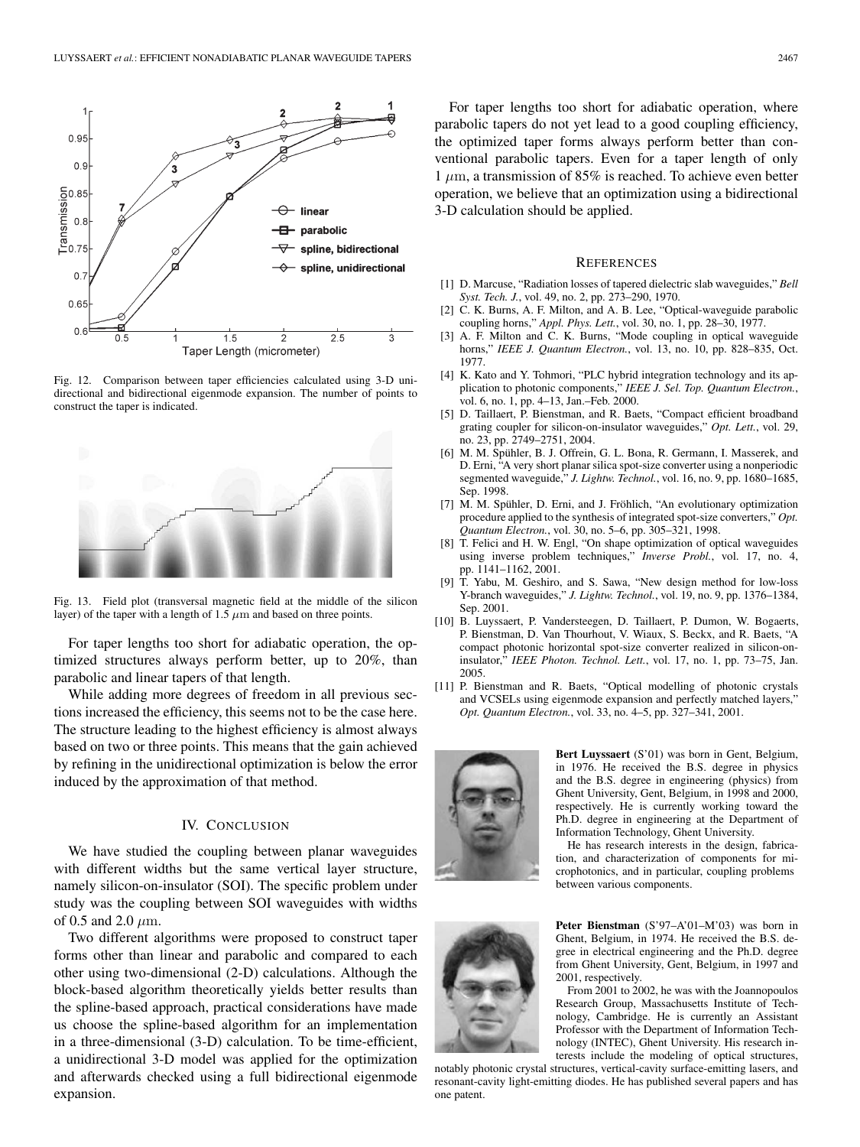

Fig. 12. Comparison between taper efficiencies calculated using 3-D unidirectional and bidirectional eigenmode expansion. The number of points to construct the taper is indicated.



Fig. 13. Field plot (transversal magnetic field at the middle of the silicon layer) of the taper with a length of 1.5  $\mu$ m and based on three points.

For taper lengths too short for adiabatic operation, the optimized structures always perform better, up to 20%, than parabolic and linear tapers of that length.

While adding more degrees of freedom in all previous sections increased the efficiency, this seems not to be the case here. The structure leading to the highest efficiency is almost always based on two or three points. This means that the gain achieved by refining in the unidirectional optimization is below the error induced by the approximation of that method.

### IV. CONCLUSION

We have studied the coupling between planar waveguides with different widths but the same vertical layer structure, namely silicon-on-insulator (SOI). The specific problem under study was the coupling between SOI waveguides with widths of 0.5 and 2.0  $\mu$ m.

Two different algorithms were proposed to construct taper forms other than linear and parabolic and compared to each other using two-dimensional (2-D) calculations. Although the block-based algorithm theoretically yields better results than the spline-based approach, practical considerations have made us choose the spline-based algorithm for an implementation in a three-dimensional (3-D) calculation. To be time-efficient, a unidirectional 3-D model was applied for the optimization and afterwards checked using a full bidirectional eigenmode expansion.

For taper lengths too short for adiabatic operation, where parabolic tapers do not yet lead to a good coupling efficiency, the optimized taper forms always perform better than conventional parabolic tapers. Even for a taper length of only 1  $\mu$ m, a transmission of 85% is reached. To achieve even better operation, we believe that an optimization using a bidirectional 3-D calculation should be applied.

#### **REFERENCES**

- [1] D. Marcuse, "Radiation losses of tapered dielectric slab waveguides," *Bell Syst. Tech. J.*, vol. 49, no. 2, pp. 273–290, 1970.
- [2] C. K. Burns, A. F. Milton, and A. B. Lee, "Optical-waveguide parabolic coupling horns," *Appl. Phys. Lett.*, vol. 30, no. 1, pp. 28–30, 1977.
- [3] A. F. Milton and C. K. Burns, "Mode coupling in optical waveguide horns," *IEEE J. Quantum Electron.*, vol. 13, no. 10, pp. 828–835, Oct. 1977.
- [4] K. Kato and Y. Tohmori, "PLC hybrid integration technology and its application to photonic components," *IEEE J. Sel. Top. Quantum Electron.*, vol. 6, no. 1, pp. 4–13, Jan.–Feb. 2000.
- [5] D. Taillaert, P. Bienstman, and R. Baets, "Compact efficient broadband grating coupler for silicon-on-insulator waveguides," *Opt. Lett.*, vol. 29, no. 23, pp. 2749–2751, 2004.
- [6] M. M. Spühler, B. J. Offrein, G. L. Bona, R. Germann, I. Masserek, and D. Erni, "A very short planar silica spot-size converter using a nonperiodic segmented waveguide," *J. Lightw. Technol.*, vol. 16, no. 9, pp. 1680–1685, Sep. 1998.
- [7] M. M. Spühler, D. Erni, and J. Fröhlich, "An evolutionary optimization procedure applied to the synthesis of integrated spot-size converters," *Opt. Quantum Electron.*, vol. 30, no. 5–6, pp. 305–321, 1998.
- [8] T. Felici and H. W. Engl, "On shape optimization of optical waveguides using inverse problem techniques," *Inverse Probl.*, vol. 17, no. 4, pp. 1141–1162, 2001.
- [9] T. Yabu, M. Geshiro, and S. Sawa, "New design method for low-loss Y-branch waveguides," *J. Lightw. Technol.*, vol. 19, no. 9, pp. 1376–1384, Sep. 2001.
- [10] B. Luyssaert, P. Vandersteegen, D. Taillaert, P. Dumon, W. Bogaerts, P. Bienstman, D. Van Thourhout, V. Wiaux, S. Beckx, and R. Baets, "A compact photonic horizontal spot-size converter realized in silicon-oninsulator," *IEEE Photon. Technol. Lett.*, vol. 17, no. 1, pp. 73–75, Jan. 2005.
- [11] P. Bienstman and R. Baets, "Optical modelling of photonic crystals and VCSELs using eigenmode expansion and perfectly matched layers," *Opt. Quantum Electron.*, vol. 33, no. 4–5, pp. 327–341, 2001.



**Bert Luyssaert** (S'01) was born in Gent, Belgium, in 1976. He received the B.S. degree in physics and the B.S. degree in engineering (physics) from Ghent University, Gent, Belgium, in 1998 and 2000, respectively. He is currently working toward the Ph.D. degree in engineering at the Department of Information Technology, Ghent University.

He has research interests in the design, fabrication, and characterization of components for microphotonics, and in particular, coupling problems between various components.



**Peter Bienstman** (S'97–A'01–M'03) was born in Ghent, Belgium, in 1974. He received the B.S. degree in electrical engineering and the Ph.D. degree from Ghent University, Gent, Belgium, in 1997 and 2001, respectively.

From 2001 to 2002, he was with the Joannopoulos Research Group, Massachusetts Institute of Technology, Cambridge. He is currently an Assistant Professor with the Department of Information Technology (INTEC), Ghent University. His research interests include the modeling of optical structures,

notably photonic crystal structures, vertical-cavity surface-emitting lasers, and resonant-cavity light-emitting diodes. He has published several papers and has one patent.